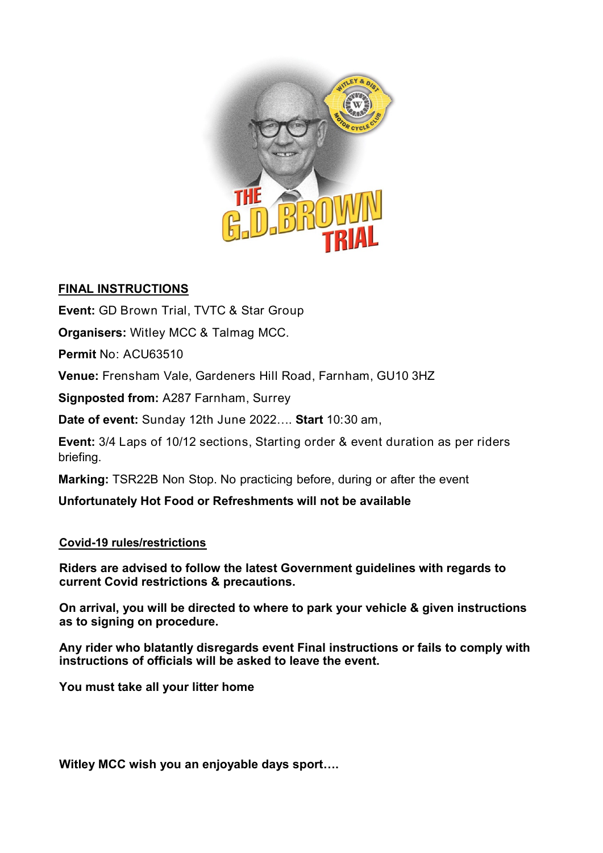

## **FINAL INSTRUCTIONS**

**Event:** GD Brown Trial, TVTC & Star Group

**Organisers:** Witley MCC & Talmag MCC.

**Permit** No: ACU63510

**Venue:** Frensham Vale, Gardeners Hill Road, Farnham, GU10 3HZ

**Signposted from:** A287 Farnham, Surrey

**Date of event:** Sunday 12th June 2022…. **Start** 10:30 am,

**Event:** 3/4 Laps of 10/12 sections, Starting order & event duration as per riders briefing.

**Marking:** TSR22B Non Stop. No practicing before, during or after the event

**Unfortunately Hot Food or Refreshments will not be available**

**Covid-19 rules/restrictions**

**Riders are advised to follow the latest Government guidelines with regards to current Covid restrictions & precautions.**

**On arrival, you will be directed to where to park your vehicle & given instructions as to signing on procedure.** 

**Any rider who blatantly disregards event Final instructions or fails to comply with instructions of officials will be asked to leave the event.** 

**You must take all your litter home** 

**Witley MCC wish you an enjoyable days sport….**